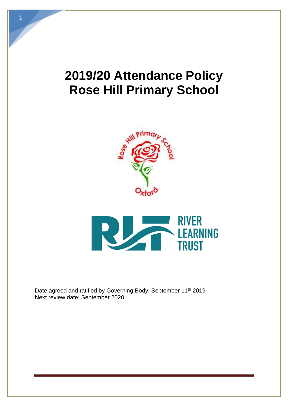# **2019/20 Attendance Policy Rose Hill Primary School**





Date agreed and ratified by Governing Body: September 11<sup>th</sup> 2019 Next review date: September 2020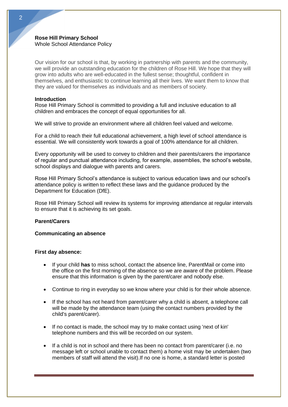# **Rose Hill Primary School**  Whole School Attendance Policy

Our vision for our school is that, by working in partnership with parents and the community, we will provide an outstanding education for the children of Rose Hill. We hope that they will grow into adults who are well-educated in the fullest sense; thoughtful, confident in themselves, and enthusiastic to continue learning all their lives. We want them to know that they are valued for themselves as individuals and as members of society.

## **Introduction**

Rose Hill Primary School is committed to providing a full and inclusive education to all children and embraces the concept of equal opportunities for all.

We will strive to provide an environment where all children feel valued and welcome.

For a child to reach their full educational achievement, a high level of school attendance is essential. We will consistently work towards a goal of 100% attendance for all children.

Every opportunity will be used to convey to children and their parents/carers the importance of regular and punctual attendance including, for example, assemblies, the school's website, school displays and dialogue with parents and carers.

Rose Hill Primary School's attendance is subject to various education laws and our school's attendance policy is written to reflect these laws and the guidance produced by the Department for Education (DfE).

Rose Hill Primary School will review its systems for improving attendance at regular intervals to ensure that it is achieving its set goals.

## **Parent/Carers**

# **Communicating an absence**

#### **First day absence:**

- If your child **has** to miss school, contact the absence line, ParentMail or come into the office on the first morning of the absence so we are aware of the problem. Please ensure that this information is given by the parent/carer and nobody else.
- Continue to ring in everyday so we know where your child is for their whole absence.
- If the school has not heard from parent/carer why a child is absent, a telephone call will be made by the attendance team (using the contact numbers provided by the child's parent/carer).
- If no contact is made, the school may try to make contact using 'next of kin' telephone numbers and this will be recorded on our system.
- If a child is not in school and there has been no contact from parent/carer (i.e. no message left or school unable to contact them) a home visit may be undertaken (two members of staff will attend the visit).If no one is home, a standard letter is posted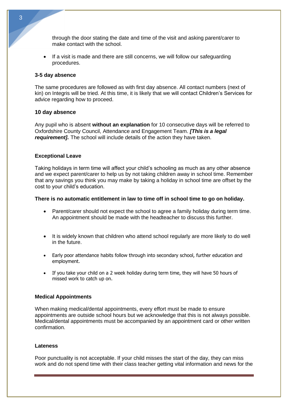through the door stating the date and time of the visit and asking parent/carer to make contact with the school.

If a visit is made and there are still concerns, we will follow our safeguarding procedures.

#### **3-5 day absence**

The same procedures are followed as with first day absence. All contact numbers (next of kin) on Integris will be tried. At this time, it is likely that we will contact Children's Services for advice regarding how to proceed.

#### **10 day absence**

Any pupil who is absent **without an explanation** for 10 consecutive days will be referred to Oxfordshire County Council, Attendance and Engagement Team. *[This is a legal requirement].* The school will include details of the action they have taken.

# **Exceptional Leave**

Taking holidays in term time will affect your child's schooling as much as any other absence and we expect parent/carer to help us by not taking children away in school time. Remember that any savings you think you may make by taking a holiday in school time are offset by the cost to your child's education.

# **There is no automatic entitlement in law to time off in school time to go on holiday.**

- Parent/carer should not expect the school to agree a family holiday during term time. An appointment should be made with the headteacher to discuss this further.
- It is widely known that children who attend school regularly are more likely to do well in the future.
- Early poor attendance habits follow through into secondary school, further education and employment.
- If you take your child on a 2 week holiday during term time, they will have 50 hours of missed work to catch up on.

## **Medical Appointments**

When making medical/dental appointments, every effort must be made to ensure appointments are outside school hours but we acknowledge that this is not always possible. Medical/dental appointments must be accompanied by an appointment card or other written confirmation.

#### **Lateness**

Poor punctuality is not acceptable. If your child misses the start of the day, they can miss work and do not spend time with their class teacher getting vital information and news for the